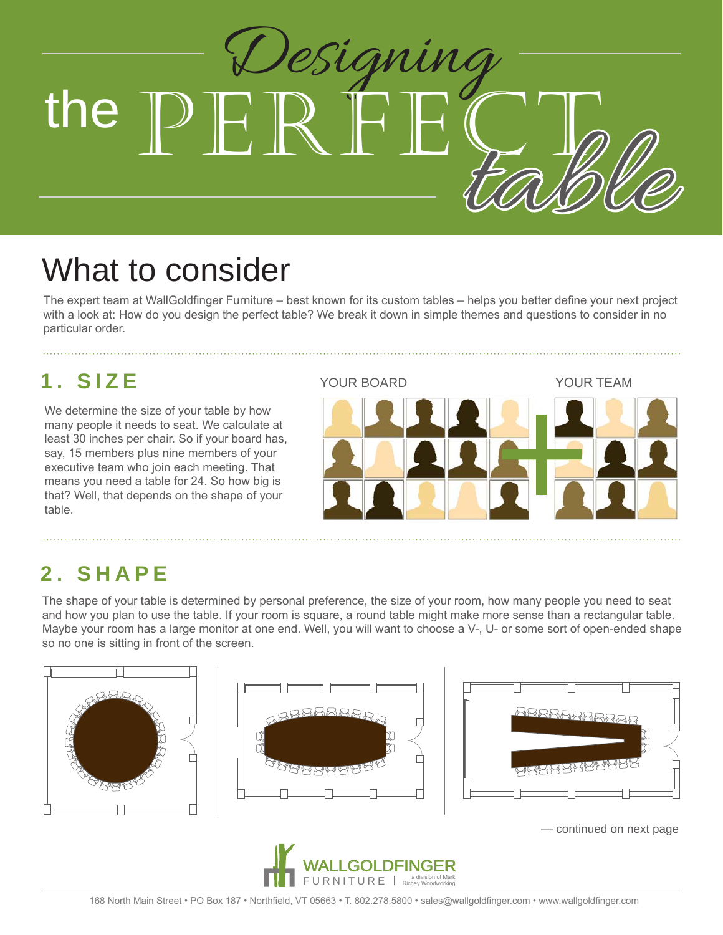

# What to consider

The expert team at WallGoldfinger Furniture – best known for its custom tables – helps you better define your next project with a look at: How do you design the perfect table? We break it down in simple themes and questions to consider in no particular order.

## **1. SIZE**

We determine the size of your table by how many people it needs to seat. We calculate at least 30 inches per chair. So if your board has, say, 15 members plus nine members of your executive team who join each meeting. That means you need a table for 24. So how big is that? Well, that depends on the shape of your table.

YOUR BOARD YOUR TEAM

### **2. SHAPE**

The shape of your table is determined by personal preference, the size of your room, how many people you need to seat and how you plan to use the table. If your room is square, a round table might make more sense than a rectangular table. Maybe your room has a large monitor at one end. Well, you will want to choose a V-, U- or some sort of open-ended shape so no one is sitting in front of the screen.





FURNITURE | a division of Mark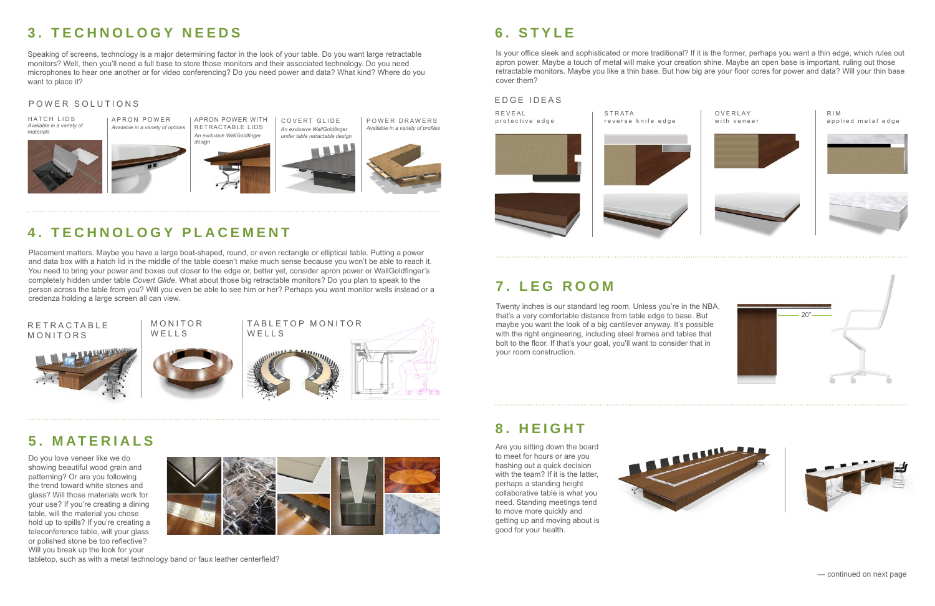Speaking of screens, technology is a major determining factor in the look of your table. Do you want large retractable monitors? Well, then you'll need a full base to store those monitors and their associated technology. Do you need microphones to hear one another or for video conferencing? Do you need power and data? What kind? Where do you want to place it?

## **3. TECHNOLOGY NEEDS**

### POWER SOLUTIONS



COVERT GLIDE POWER DRAWERS



*An exclusive WallGoldfinger* 





RETRACTABLE LIDS *An exclusive WallGoldfinger* 

R E T R A C T A B L E MONITORS

## **4. TECHNOLOGY PLACEMENT**

Placement matters. Maybe you have a large boat-shaped, round, or even rectangle or elliptical table. Putting a power and data box with a hatch lid in the middle of the table doesn't make much sense because you won't be able to reach it. You need to bring your power and boxes out closer to the edge or, better yet, consider apron power or WallGoldfinger's completely hidden under table *Covert Glide*. What about those big retractable monitors? Do you plan to speak to the person across the table from you? Will you even be able to see him or her? Perhaps you want monitor wells instead or a credenza holding a large screen all can view.











## **5. MATERIALS**

Do you love veneer like we do showing beautiful wood grain and patterning? Or are you following the trend toward white stones and glass? Will those materials work for your use? If you're creating a dining table, will the material you chose hold up to spills? If you're creating a teleconference table, will your glass or polished stone be too reflective? Will you break up the look for your



tabletop, such as with a metal technology band or faux leather centerfield?

## **6. STYLE**

Is your office sleek and sophisticated or more traditional? If it is the former, perhaps you want a thin edge, which rules out apron power. Maybe a touch of metal will make your creation shine. Maybe an open base is important, ruling out those retractable monitors. Maybe you like a thin base. But how big are your floor cores for power and data? Will your thin base cover them?

### EDGE IDEAS

R E V E A L protective edge







RIM applied metal edge





## **7. LEG ROOM**

Twenty inches is our standard leg room. Unless you're in the NBA, that's a very comfortable distance from table edge to base. But maybe you want the look of a big cantilever anyway. It's possible with the right engineering, including steel frames and tables that bolt to the floor. If that's your goal, you'll want to consider that in your room construction.



## **8. HEIGHT**

Are you sitting down the board to meet for hours or are you hashing out a quick decision with the team? If it is the latter. perhaps a standing height collaborative table is what you need. Standing meetings tend to move more quickly and getting up and moving about is good for your health.